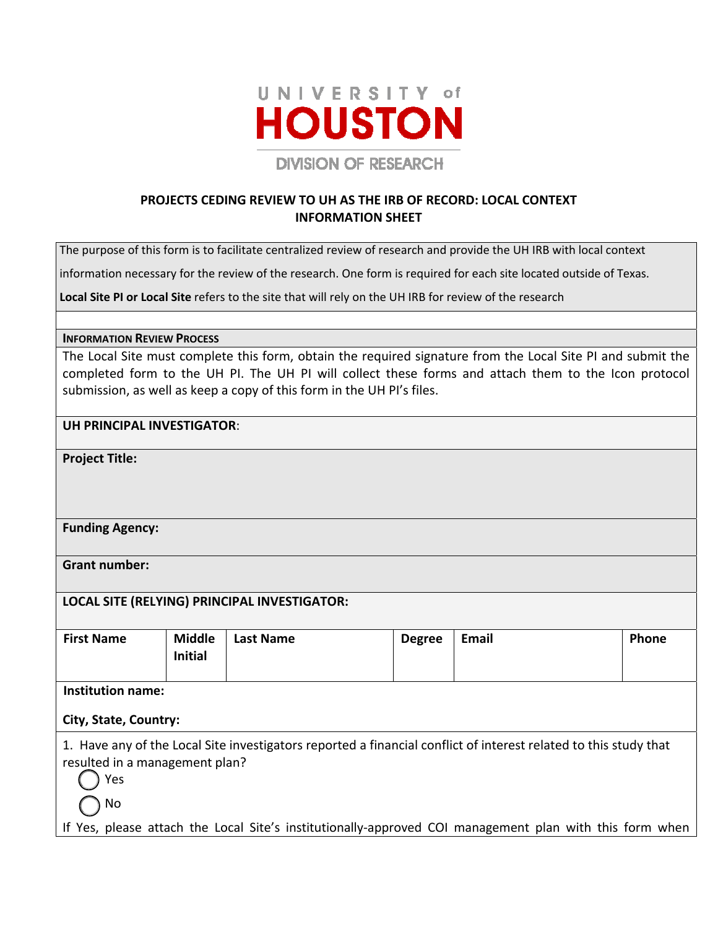

# **PROJECTS CEDING REVIEW TO UH AS THE IRB OF RECORD: LOCAL CONTEXT INFORMATION SHEET**

The purpose of this form is to facilitate centralized review of research and provide the UH IRB with local context

information necessary for the review of the research. One form is required for each site located outside of Texas.

**Local Site PI or Local Site** refers to the site that will rely on the UH IRB for review of the research

#### **INFORMATION REVIEW PROCESS**

The Local Site must complete this form, obtain the required signature from the Local Site PI and submit the completed form to the UH PI. The UH PI will collect these forms and attach them to the Icon protocol submission, as well as keep a copy of this form in the UH PI's files.

### **UH PRINCIPAL INVESTIGATOR**:

**Project Title:** 

### **Funding Agency:**

**Grant number:** 

### **LOCAL SITE (RELYING) PRINCIPAL INVESTIGATOR:**

| <b>First Name</b> | <b>Middle</b>  | <b>Last Name</b> | <b>Degree</b> | Email | <b>Phone</b> |
|-------------------|----------------|------------------|---------------|-------|--------------|
|                   |                |                  |               |       |              |
|                   | <b>Initial</b> |                  |               |       |              |
|                   |                |                  |               |       |              |
|                   |                |                  |               |       |              |
|                   |                |                  |               |       |              |

**Institution name:** 

### **City, State, Country:**

1. Have any of the Local Site investigators reported a financial conflict of interest related to this study that resulted in a management plan?

Yes

No

If Yes, please attach the Local Site's institutionally‐approved COI management plan with this form when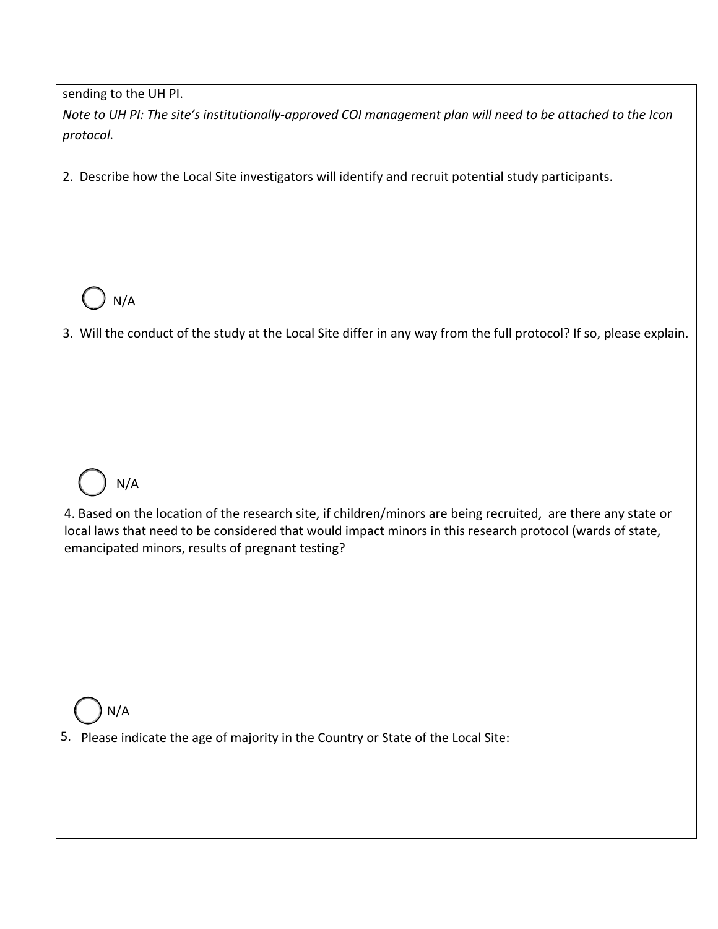sending to the UH PI.

Note to UH PI: The site's institutionally-approved COI management plan will need to be attached to the Icon *protocol.*

2. Describe how the Local Site investigators will identify and recruit potential study participants.



3. Will the conduct of the study at the Local Site differ in any way from the full protocol? If so, please explain.



4. Based on the location of the research site, if children/minors are being recruited, are there any state or local laws that need to be considered that would impact minors in this research protocol (wards of state, emancipated minors, results of pregnant testing?



# 5. Please indicate the age of majority in the Country or State of the Local Site: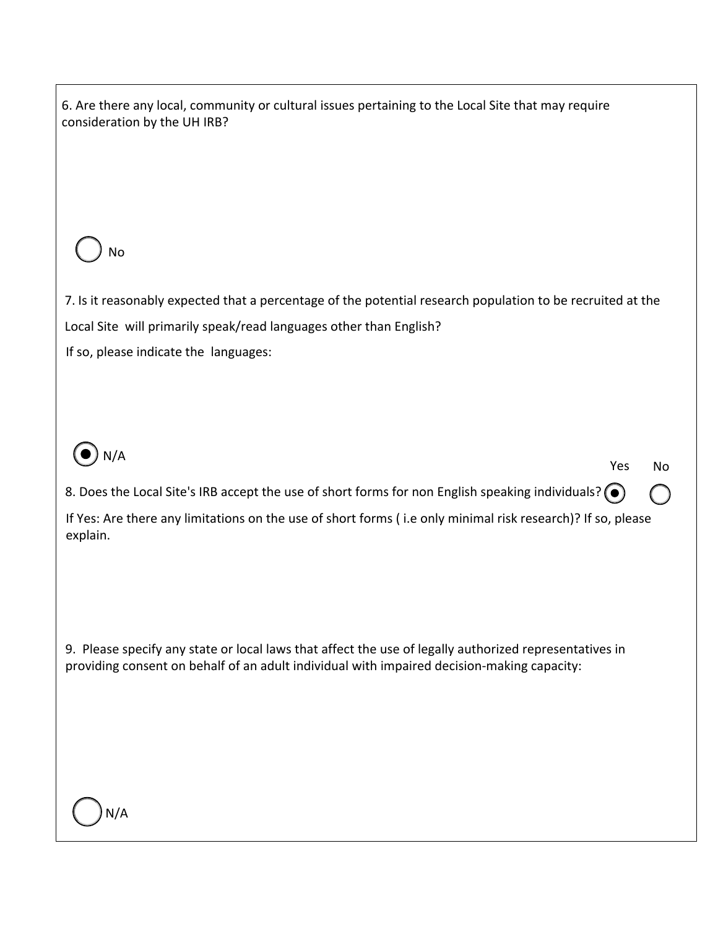| 6. Are there any local, community or cultural issues pertaining to the Local Site that may require<br>consideration by the UH IRB? |  |  |  |  |  |
|------------------------------------------------------------------------------------------------------------------------------------|--|--|--|--|--|
|                                                                                                                                    |  |  |  |  |  |
|                                                                                                                                    |  |  |  |  |  |
| No                                                                                                                                 |  |  |  |  |  |
| 7. Is it reasonably expected that a percentage of the potential research population to be recruited at the                         |  |  |  |  |  |
| Local Site will primarily speak/read languages other than English?<br>If so, please indicate the languages:                        |  |  |  |  |  |
|                                                                                                                                    |  |  |  |  |  |
|                                                                                                                                    |  |  |  |  |  |
| N/A<br>Yes<br>No                                                                                                                   |  |  |  |  |  |
| 8. Does the Local Site's IRB accept the use of short forms for non English speaking individuals? $\odot$                           |  |  |  |  |  |
| If Yes: Are there any limitations on the use of short forms (i.e only minimal risk research)? If so, please<br>explain.            |  |  |  |  |  |
|                                                                                                                                    |  |  |  |  |  |
|                                                                                                                                    |  |  |  |  |  |
| 9. Please specify any state or local laws that affect the use of legally authorized representatives in                             |  |  |  |  |  |
| providing consent on behalf of an adult individual with impaired decision-making capacity:                                         |  |  |  |  |  |
|                                                                                                                                    |  |  |  |  |  |
|                                                                                                                                    |  |  |  |  |  |
|                                                                                                                                    |  |  |  |  |  |
|                                                                                                                                    |  |  |  |  |  |